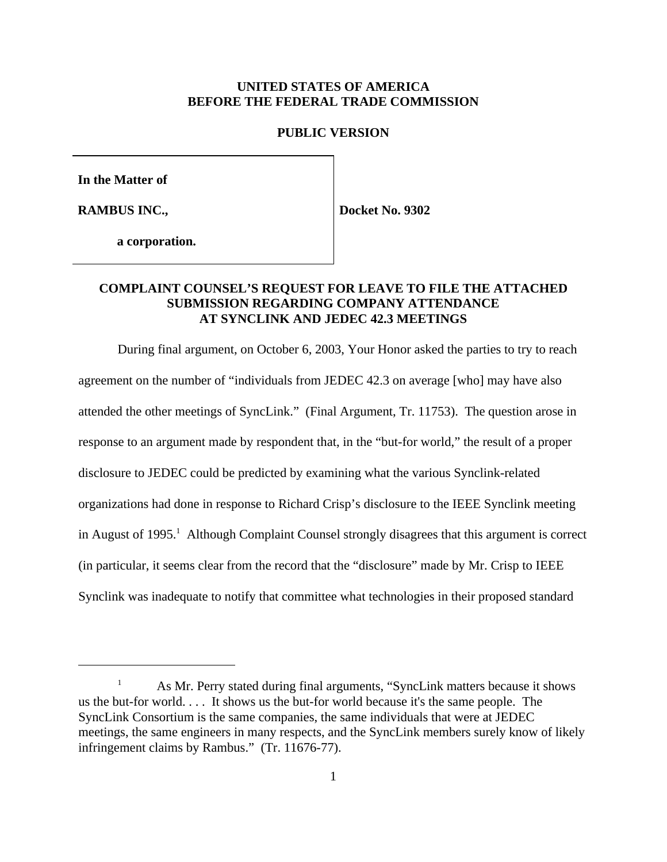#### **UNITED STATES OF AMERICA BEFORE THE FEDERAL TRADE COMMISSION**

#### **PUBLIC VERSION**

**In the Matter of**

**RAMBUS INC.,**

**Docket No. 9302**

**a corporation.**

# **COMPLAINT COUNSEL'S REQUEST FOR LEAVE TO FILE THE ATTACHED SUBMISSION REGARDING COMPANY ATTENDANCE AT SYNCLINK AND JEDEC 42.3 MEETINGS**

During final argument, on October 6, 2003, Your Honor asked the parties to try to reach agreement on the number of "individuals from JEDEC 42.3 on average [who] may have also attended the other meetings of SyncLink." (Final Argument, Tr. 11753). The question arose in response to an argument made by respondent that, in the "but-for world," the result of a proper disclosure to JEDEC could be predicted by examining what the various Synclink-related organizations had done in response to Richard Crisp's disclosure to the IEEE Synclink meeting in August of 1995.<sup>1</sup> Although Complaint Counsel strongly disagrees that this argument is correct (in particular, it seems clear from the record that the "disclosure" made by Mr. Crisp to IEEE Synclink was inadequate to notify that committee what technologies in their proposed standard

<sup>1</sup> As Mr. Perry stated during final arguments, "SyncLink matters because it shows us the but-for world. . . . It shows us the but-for world because it's the same people. The SyncLink Consortium is the same companies, the same individuals that were at JEDEC meetings, the same engineers in many respects, and the SyncLink members surely know of likely infringement claims by Rambus." (Tr. 11676-77).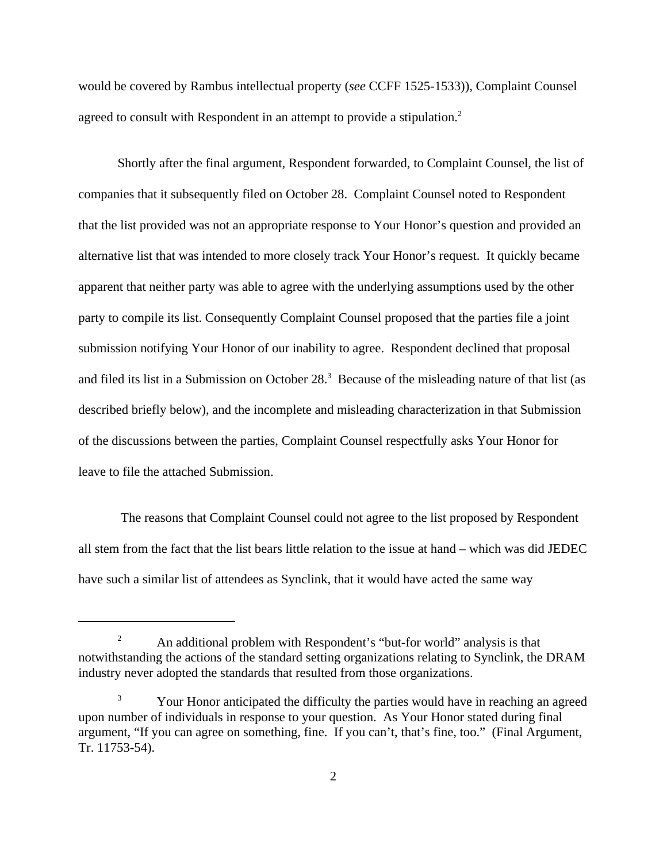would be covered by Rambus intellectual property (*see* CCFF 1525-1533)), Complaint Counsel agreed to consult with Respondent in an attempt to provide a stipulation.<sup>2</sup>

Shortly after the final argument, Respondent forwarded, to Complaint Counsel, the list of companies that it subsequently filed on October 28. Complaint Counsel noted to Respondent that the list provided was not an appropriate response to Your Honor's question and provided an alternative list that was intended to more closely track Your Honor's request. It quickly became apparent that neither party was able to agree with the underlying assumptions used by the other party to compile its list. Consequently Complaint Counsel proposed that the parties file a joint submission notifying Your Honor of our inability to agree. Respondent declined that proposal and filed its list in a Submission on October  $28<sup>3</sup>$  Because of the misleading nature of that list (as described briefly below), and the incomplete and misleading characterization in that Submission of the discussions between the parties, Complaint Counsel respectfully asks Your Honor for leave to file the attached Submission.

 The reasons that Complaint Counsel could not agree to the list proposed by Respondent all stem from the fact that the list bears little relation to the issue at hand – which was did JEDEC have such a similar list of attendees as Synclink, that it would have acted the same way

<sup>&</sup>lt;sup>2</sup> An additional problem with Respondent's "but-for world" analysis is that notwithstanding the actions of the standard setting organizations relating to Synclink, the DRAM industry never adopted the standards that resulted from those organizations.

<sup>&</sup>lt;sup>3</sup> Your Honor anticipated the difficulty the parties would have in reaching an agreed upon number of individuals in response to your question. As Your Honor stated during final argument, "If you can agree on something, fine. If you can't, that's fine, too." (Final Argument, Tr. 11753-54).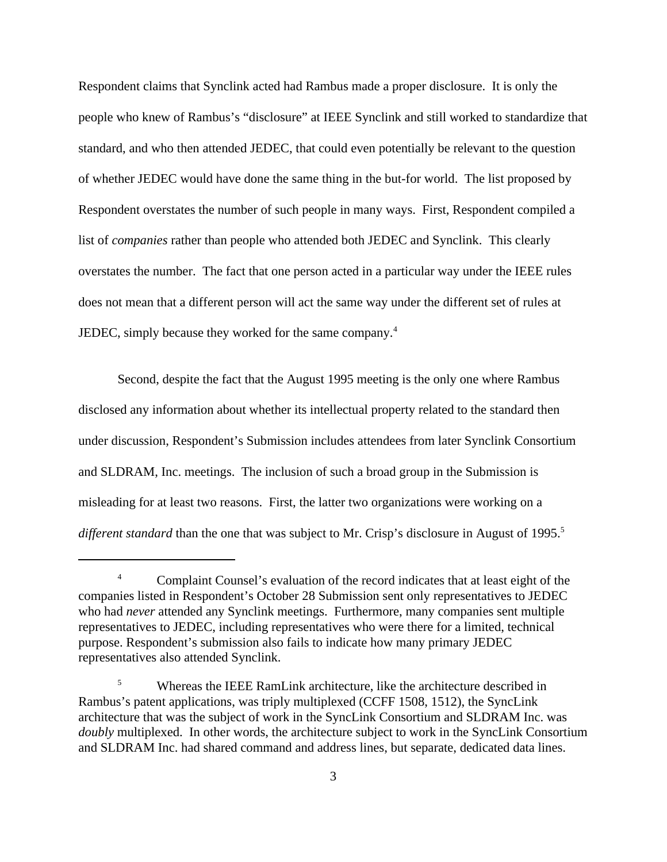Respondent claims that Synclink acted had Rambus made a proper disclosure. It is only the people who knew of Rambus's "disclosure" at IEEE Synclink and still worked to standardize that standard, and who then attended JEDEC, that could even potentially be relevant to the question of whether JEDEC would have done the same thing in the but-for world. The list proposed by Respondent overstates the number of such people in many ways. First, Respondent compiled a list of *companies* rather than people who attended both JEDEC and Synclink. This clearly overstates the number. The fact that one person acted in a particular way under the IEEE rules does not mean that a different person will act the same way under the different set of rules at JEDEC, simply because they worked for the same company.<sup>4</sup>

Second, despite the fact that the August 1995 meeting is the only one where Rambus disclosed any information about whether its intellectual property related to the standard then under discussion, Respondent's Submission includes attendees from later Synclink Consortium and SLDRAM, Inc. meetings. The inclusion of such a broad group in the Submission is misleading for at least two reasons. First, the latter two organizations were working on a *different standard* than the one that was subject to Mr. Crisp's disclosure in August of 1995.<sup>5</sup>

<sup>&</sup>lt;sup>4</sup> Complaint Counsel's evaluation of the record indicates that at least eight of the companies listed in Respondent's October 28 Submission sent only representatives to JEDEC who had *never* attended any Synclink meetings. Furthermore, many companies sent multiple representatives to JEDEC, including representatives who were there for a limited, technical purpose. Respondent's submission also fails to indicate how many primary JEDEC representatives also attended Synclink.

<sup>&</sup>lt;sup>5</sup> Whereas the IEEE RamLink architecture, like the architecture described in Rambus's patent applications, was triply multiplexed (CCFF 1508, 1512), the SyncLink architecture that was the subject of work in the SyncLink Consortium and SLDRAM Inc. was *doubly* multiplexed. In other words, the architecture subject to work in the SyncLink Consortium and SLDRAM Inc. had shared command and address lines, but separate, dedicated data lines.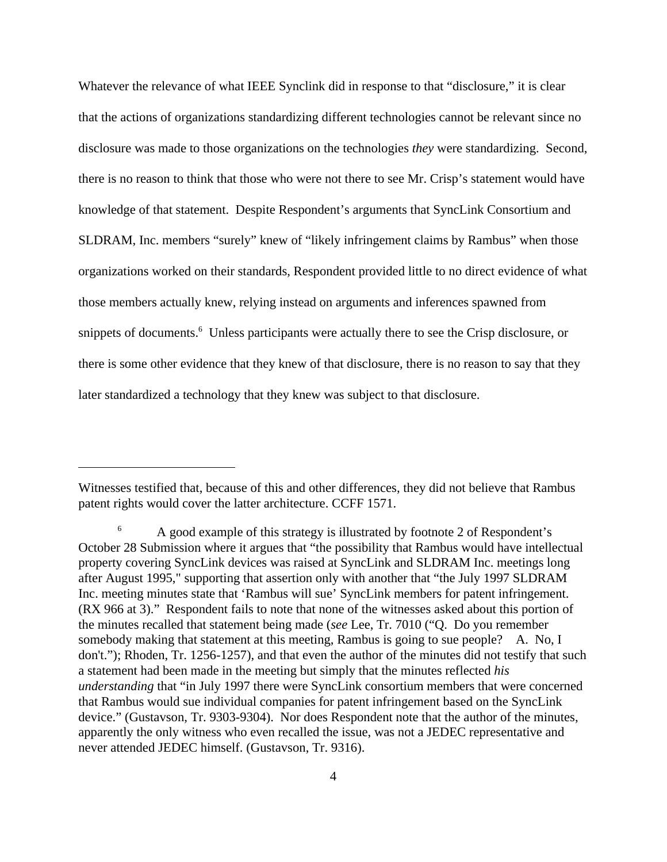Whatever the relevance of what IEEE Synclink did in response to that "disclosure," it is clear that the actions of organizations standardizing different technologies cannot be relevant since no disclosure was made to those organizations on the technologies *they* were standardizing. Second, there is no reason to think that those who were not there to see Mr. Crisp's statement would have knowledge of that statement. Despite Respondent's arguments that SyncLink Consortium and SLDRAM, Inc. members "surely" knew of "likely infringement claims by Rambus" when those organizations worked on their standards, Respondent provided little to no direct evidence of what those members actually knew, relying instead on arguments and inferences spawned from snippets of documents.<sup>6</sup> Unless participants were actually there to see the Crisp disclosure, or there is some other evidence that they knew of that disclosure, there is no reason to say that they later standardized a technology that they knew was subject to that disclosure.

Witnesses testified that, because of this and other differences, they did not believe that Rambus patent rights would cover the latter architecture. CCFF 1571.

<sup>&</sup>lt;sup>6</sup> A good example of this strategy is illustrated by footnote 2 of Respondent's October 28 Submission where it argues that "the possibility that Rambus would have intellectual property covering SyncLink devices was raised at SyncLink and SLDRAM Inc. meetings long after August 1995," supporting that assertion only with another that "the July 1997 SLDRAM Inc. meeting minutes state that 'Rambus will sue' SyncLink members for patent infringement. (RX 966 at 3)." Respondent fails to note that none of the witnesses asked about this portion of the minutes recalled that statement being made (*see* Lee, Tr. 7010 ("Q. Do you remember somebody making that statement at this meeting, Rambus is going to sue people? A. No, I don't."); Rhoden, Tr. 1256-1257), and that even the author of the minutes did not testify that such a statement had been made in the meeting but simply that the minutes reflected *his understanding* that "in July 1997 there were SyncLink consortium members that were concerned that Rambus would sue individual companies for patent infringement based on the SyncLink device." (Gustavson, Tr. 9303-9304). Nor does Respondent note that the author of the minutes, apparently the only witness who even recalled the issue, was not a JEDEC representative and never attended JEDEC himself. (Gustavson, Tr. 9316).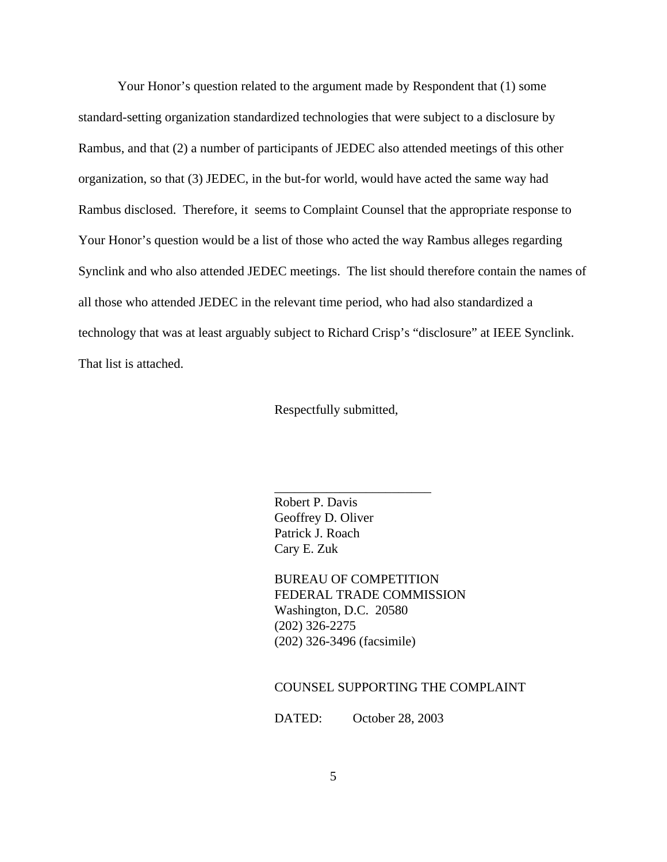Your Honor's question related to the argument made by Respondent that (1) some standard-setting organization standardized technologies that were subject to a disclosure by Rambus, and that (2) a number of participants of JEDEC also attended meetings of this other organization, so that (3) JEDEC, in the but-for world, would have acted the same way had Rambus disclosed. Therefore, it seems to Complaint Counsel that the appropriate response to Your Honor's question would be a list of those who acted the way Rambus alleges regarding Synclink and who also attended JEDEC meetings. The list should therefore contain the names of all those who attended JEDEC in the relevant time period, who had also standardized a technology that was at least arguably subject to Richard Crisp's "disclosure" at IEEE Synclink. That list is attached.

Respectfully submitted,

Robert P. Davis Geoffrey D. Oliver Patrick J. Roach Cary E. Zuk

\_\_\_\_\_\_\_\_\_\_\_\_\_\_\_\_\_\_\_\_\_\_\_\_

BUREAU OF COMPETITION FEDERAL TRADE COMMISSION Washington, D.C. 20580 (202) 326-2275 (202) 326-3496 (facsimile)

#### COUNSEL SUPPORTING THE COMPLAINT

DATED: October 28, 2003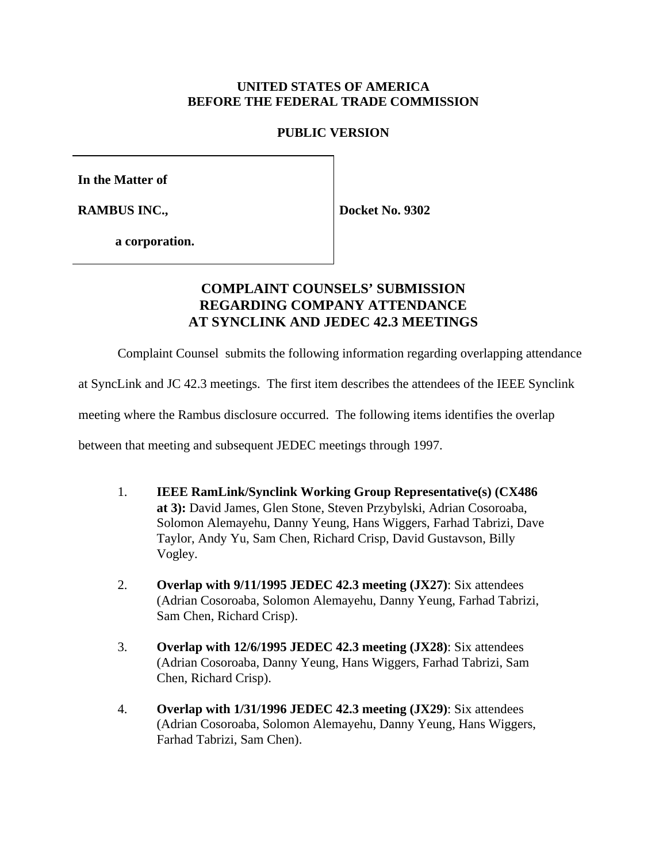# **UNITED STATES OF AMERICA BEFORE THE FEDERAL TRADE COMMISSION**

### **PUBLIC VERSION**

**In the Matter of**

**RAMBUS INC.,**

**Docket No. 9302**

**a corporation.**

# **COMPLAINT COUNSELS' SUBMISSION REGARDING COMPANY ATTENDANCE AT SYNCLINK AND JEDEC 42.3 MEETINGS**

Complaint Counsel submits the following information regarding overlapping attendance

at SyncLink and JC 42.3 meetings. The first item describes the attendees of the IEEE Synclink

meeting where the Rambus disclosure occurred. The following items identifies the overlap

between that meeting and subsequent JEDEC meetings through 1997.

- 1. **IEEE RamLink/Synclink Working Group Representative(s) (CX486 at 3):** David James, Glen Stone, Steven Przybylski, Adrian Cosoroaba, Solomon Alemayehu, Danny Yeung, Hans Wiggers, Farhad Tabrizi, Dave Taylor, Andy Yu, Sam Chen, Richard Crisp, David Gustavson, Billy Vogley.
- 2. **Overlap with 9/11/1995 JEDEC 42.3 meeting (JX27)**: Six attendees (Adrian Cosoroaba, Solomon Alemayehu, Danny Yeung, Farhad Tabrizi, Sam Chen, Richard Crisp).
- 3. **Overlap with 12/6/1995 JEDEC 42.3 meeting (JX28)**: Six attendees (Adrian Cosoroaba, Danny Yeung, Hans Wiggers, Farhad Tabrizi, Sam Chen, Richard Crisp).
- 4. **Overlap with 1/31/1996 JEDEC 42.3 meeting (JX29)**: Six attendees (Adrian Cosoroaba, Solomon Alemayehu, Danny Yeung, Hans Wiggers, Farhad Tabrizi, Sam Chen).